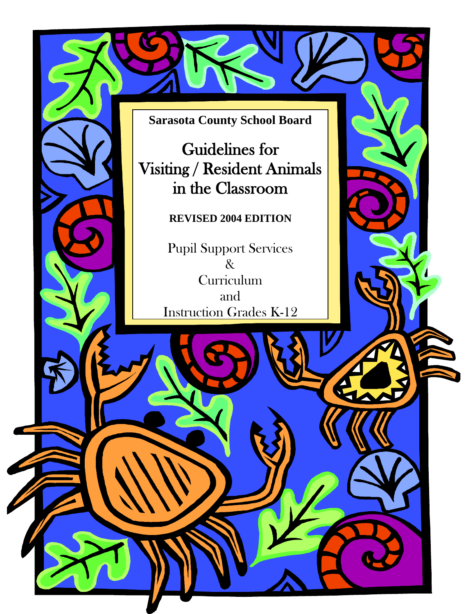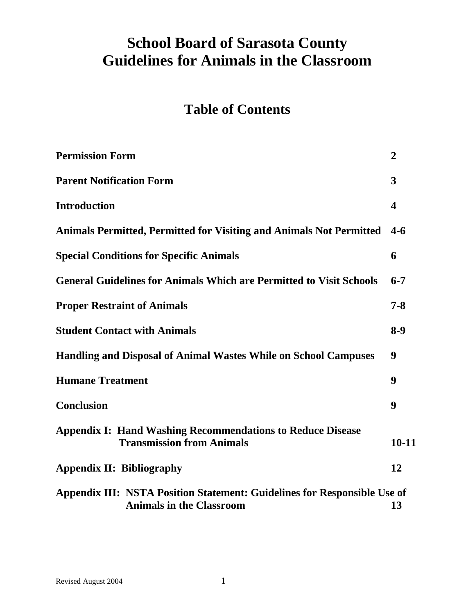# **School Board of Sarasota County Guidelines for Animals in the Classroom**

# **Table of Contents**

| <b>Permission Form</b>                                                                                      | $\boldsymbol{2}$ |
|-------------------------------------------------------------------------------------------------------------|------------------|
| <b>Parent Notification Form</b>                                                                             | 3                |
| <b>Introduction</b>                                                                                         | 4                |
| <b>Animals Permitted, Permitted for Visiting and Animals Not Permitted</b>                                  | $4-6$            |
| <b>Special Conditions for Specific Animals</b>                                                              | 6                |
| <b>General Guidelines for Animals Which are Permitted to Visit Schools</b>                                  | $6 - 7$          |
| <b>Proper Restraint of Animals</b>                                                                          | $7 - 8$          |
| <b>Student Contact with Animals</b>                                                                         | $8-9$            |
| <b>Handling and Disposal of Animal Wastes While on School Campuses</b>                                      | 9                |
| <b>Humane Treatment</b>                                                                                     | 9                |
| <b>Conclusion</b>                                                                                           | 9                |
| <b>Appendix I: Hand Washing Recommendations to Reduce Disease</b><br><b>Transmission from Animals</b>       | $10 - 11$        |
| <b>Appendix II: Bibliography</b>                                                                            | 12               |
| Appendix III: NSTA Position Statement: Guidelines for Responsible Use of<br><b>Animals in the Classroom</b> | 13               |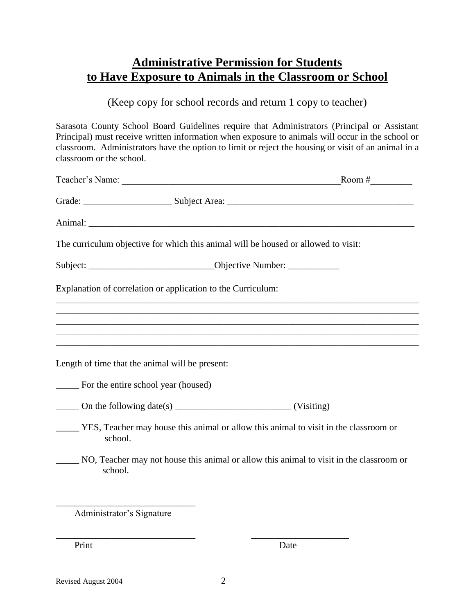## **Administrative Permission for Students to Have Exposure to Animals in the Classroom or School**

(Keep copy for school records and return 1 copy to teacher)

Sarasota County School Board Guidelines require that Administrators (Principal or Assistant Principal) must receive written information when exposure to animals will occur in the school or classroom. Administrators have the option to limit or reject the housing or visit of an animal in a classroom or the school.

|                                             |                                                              | The curriculum objective for which this animal will be housed or allowed to visit:                                                                                                                                                                                                                                                                                                                                                |  |
|---------------------------------------------|--------------------------------------------------------------|-----------------------------------------------------------------------------------------------------------------------------------------------------------------------------------------------------------------------------------------------------------------------------------------------------------------------------------------------------------------------------------------------------------------------------------|--|
|                                             |                                                              | Subject: _________________________________Objective Number: ____________________                                                                                                                                                                                                                                                                                                                                                  |  |
|                                             | Explanation of correlation or application to the Curriculum: |                                                                                                                                                                                                                                                                                                                                                                                                                                   |  |
|                                             |                                                              | ,我们也不能在这里的时候,我们也不能在这里的时候,我们也不能会不能会不能会不能会不能会不能会不能会不能会不能会不能会。""我们的是,我们也不能会不能会不能会不能                                                                                                                                                                                                                                                                                                                                                  |  |
|                                             |                                                              | ,我们也不会有什么。""我们的人,我们也不会有什么?""我们的人,我们也不会有什么?""我们的人,我们也不会有什么?""我们的人,我们也不会有什么?""我们的人                                                                                                                                                                                                                                                                                                                                                  |  |
|                                             | Length of time that the animal will be present:              |                                                                                                                                                                                                                                                                                                                                                                                                                                   |  |
| _______ For the entire school year (housed) |                                                              |                                                                                                                                                                                                                                                                                                                                                                                                                                   |  |
|                                             |                                                              | $\frac{1}{\sqrt{1-\frac{1}{\sqrt{1-\frac{1}{\sqrt{1-\frac{1}{\sqrt{1-\frac{1}{\sqrt{1-\frac{1}{\sqrt{1-\frac{1}{\sqrt{1-\frac{1}{\sqrt{1-\frac{1}{\sqrt{1-\frac{1}{\sqrt{1-\frac{1}{\sqrt{1-\frac{1}{\sqrt{1-\frac{1}{\sqrt{1-\frac{1}{\sqrt{1-\frac{1}{\sqrt{1-\frac{1}{\sqrt{1-\frac{1}{\sqrt{1-\frac{1}{\sqrt{1-\frac{1}{\sqrt{1-\frac{1}{\sqrt{1-\frac{1}{\sqrt{1-\frac{1}{\sqrt{1-\frac{1}{\sqrt{1-\frac{1}{\sqrt{1-\frac{1$ |  |
| school.                                     |                                                              | YES, Teacher may house this animal or allow this animal to visit in the classroom or                                                                                                                                                                                                                                                                                                                                              |  |
| school.                                     |                                                              | NO, Teacher may not house this animal or allow this animal to visit in the classroom or                                                                                                                                                                                                                                                                                                                                           |  |
|                                             |                                                              |                                                                                                                                                                                                                                                                                                                                                                                                                                   |  |
|                                             |                                                              |                                                                                                                                                                                                                                                                                                                                                                                                                                   |  |

Administrator's Signature

Print Date

\_\_\_\_\_\_\_\_\_\_\_\_\_\_\_\_\_\_\_\_\_\_\_\_\_\_\_\_\_\_ \_\_\_\_\_\_\_\_\_\_\_\_\_\_\_\_\_\_\_\_\_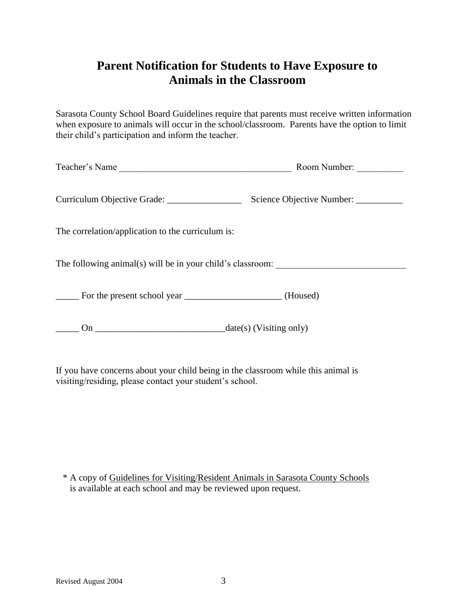## **Parent Notification for Students to Have Exposure to Animals in the Classroom**

Sarasota County School Board Guidelines require that parents must receive written information when exposure to animals will occur in the school/classroom. Parents have the option to limit their child's participation and inform the teacher.

| Teacher's Name | Room Number: |  |
|----------------|--------------|--|
|                |              |  |

Curriculum Objective Grade: \_\_\_\_\_\_\_\_\_\_\_\_\_\_\_\_ Science Objective Number: \_\_\_\_\_\_\_\_\_\_

The correlation/application to the curriculum is:

The following animal(s) will be in your child's classroom:

\_\_\_\_\_ For the present school year \_\_\_\_\_\_\_\_\_\_\_\_\_\_\_\_\_\_\_\_\_ (Housed)

 $\underline{\hspace{1cm}}$  On  $\underline{\hspace{1cm}}$  On  $\underline{\hspace{1cm}}$  date(s) (Visiting only)

If you have concerns about your child being in the classroom while this animal is visiting/residing, please contact your student's school.

\* A copy of Guidelines for Visiting/Resident Animals in Sarasota County Schools is available at each school and may be reviewed upon request.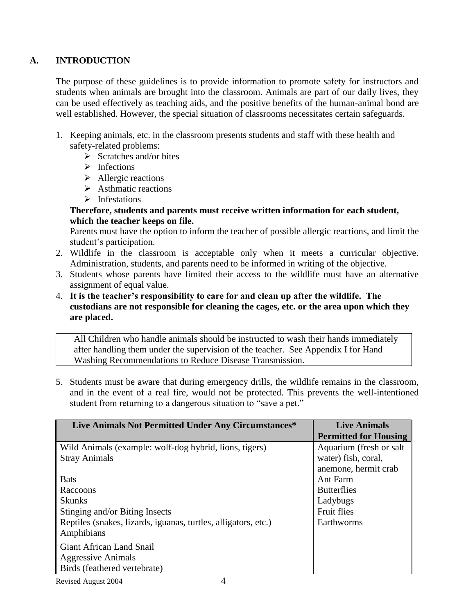#### **A. INTRODUCTION**

The purpose of these guidelines is to provide information to promote safety for instructors and students when animals are brought into the classroom. Animals are part of our daily lives, they can be used effectively as teaching aids, and the positive benefits of the human-animal bond are well established. However, the special situation of classrooms necessitates certain safeguards.

- 1. Keeping animals, etc. in the classroom presents students and staff with these health and safety-related problems:
	- $\triangleright$  Scratches and/or bites
	- $\triangleright$  Infections
	- $\triangleright$  Allergic reactions
	- $\triangleright$  Asthmatic reactions
	- $\triangleright$  Infestations

#### **Therefore, students and parents must receive written information for each student, which the teacher keeps on file.**

Parents must have the option to inform the teacher of possible allergic reactions, and limit the student's participation.

- 2. Wildlife in the classroom is acceptable only when it meets a curricular objective. Administration, students, and parents need to be informed in writing of the objective.
- 3. Students whose parents have limited their access to the wildlife must have an alternative assignment of equal value.
- 4. **It is the teacher's responsibility to care for and clean up after the wildlife. The custodians are not responsible for cleaning the cages, etc. or the area upon which they are placed.**

All Children who handle animals should be instructed to wash their hands immediately after handling them under the supervision of the teacher. See Appendix I for Hand Washing Recommendations to Reduce Disease Transmission.

5. Students must be aware that during emergency drills, the wildlife remains in the classroom, and in the event of a real fire, would not be protected. This prevents the well-intentioned student from returning to a dangerous situation to "save a pet."

| Live Animals Not Permitted Under Any Circumstances*            | <b>Live Animals</b>          |
|----------------------------------------------------------------|------------------------------|
|                                                                | <b>Permitted for Housing</b> |
| Wild Animals (example: wolf-dog hybrid, lions, tigers)         | Aquarium (fresh or salt      |
| <b>Stray Animals</b>                                           | water) fish, coral,          |
|                                                                | anemone, hermit crab         |
| <b>Bats</b>                                                    | Ant Farm                     |
| Raccoons                                                       | <b>Butterflies</b>           |
| <b>Skunks</b>                                                  | Ladybugs                     |
| Stinging and/or Biting Insects                                 | <b>Fruit flies</b>           |
| Reptiles (snakes, lizards, iguanas, turtles, alligators, etc.) | Earthworms                   |
| Amphibians                                                     |                              |
| Giant African Land Snail                                       |                              |
| Aggressive Animals                                             |                              |
| Birds (feathered vertebrate)                                   |                              |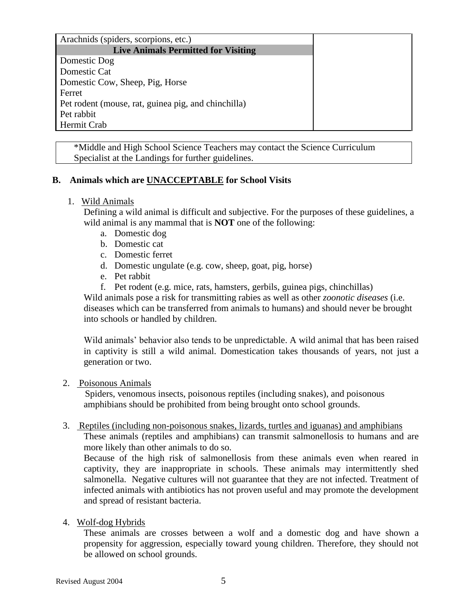| Arachnids (spiders, scorpions, etc.)                |
|-----------------------------------------------------|
| <b>Live Animals Permitted for Visiting</b>          |
| Domestic Dog                                        |
| Domestic Cat                                        |
| Domestic Cow, Sheep, Pig, Horse                     |
| Ferret                                              |
| Pet rodent (mouse, rat, guinea pig, and chinchilla) |
| Pet rabbit                                          |
| Hermit Crab                                         |

\*Middle and High School Science Teachers may contact the Science Curriculum Specialist at the Landings for further guidelines.

#### **B. Animals which are UNACCEPTABLE for School Visits**

#### 1. Wild Animals

Defining a wild animal is difficult and subjective. For the purposes of these guidelines, a wild animal is any mammal that is **NOT** one of the following:

- a. Domestic dog
- b. Domestic cat
- c. Domestic ferret
- d. Domestic ungulate (e.g. cow, sheep, goat, pig, horse)
- e. Pet rabbit
- f. Pet rodent (e.g. mice, rats, hamsters, gerbils, guinea pigs, chinchillas)

Wild animals pose a risk for transmitting rabies as well as other *zoonotic diseases* (i.e. diseases which can be transferred from animals to humans) and should never be brought into schools or handled by children.

Wild animals' behavior also tends to be unpredictable. A wild animal that has been raised in captivity is still a wild animal. Domestication takes thousands of years, not just a generation or two.

#### 2. Poisonous Animals

 Spiders, venomous insects, poisonous reptiles (including snakes), and poisonous amphibians should be prohibited from being brought onto school grounds.

#### 3. Reptiles (including non-poisonous snakes, lizards, turtles and iguanas) and amphibians

These animals (reptiles and amphibians) can transmit salmonellosis to humans and are more likely than other animals to do so.

Because of the high risk of salmonellosis from these animals even when reared in captivity, they are inappropriate in schools. These animals may intermittently shed salmonella. Negative cultures will not guarantee that they are not infected. Treatment of infected animals with antibiotics has not proven useful and may promote the development and spread of resistant bacteria.

#### 4. Wolf-dog Hybrids

These animals are crosses between a wolf and a domestic dog and have shown a propensity for aggression, especially toward young children. Therefore, they should not be allowed on school grounds.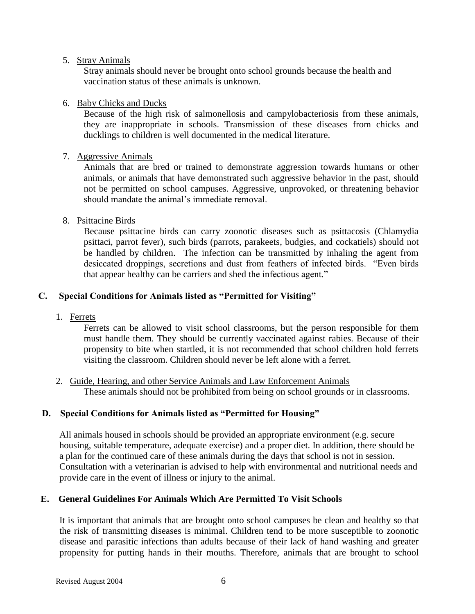#### 5. Stray Animals

Stray animals should never be brought onto school grounds because the health and vaccination status of these animals is unknown.

#### 6. Baby Chicks and Ducks

Because of the high risk of salmonellosis and campylobacteriosis from these animals, they are inappropriate in schools. Transmission of these diseases from chicks and ducklings to children is well documented in the medical literature.

#### 7. Aggressive Animals

Animals that are bred or trained to demonstrate aggression towards humans or other animals, or animals that have demonstrated such aggressive behavior in the past, should not be permitted on school campuses. Aggressive, unprovoked, or threatening behavior should mandate the animal's immediate removal.

#### 8. Psittacine Birds

Because psittacine birds can carry zoonotic diseases such as psittacosis (Chlamydia psittaci, parrot fever), such birds (parrots, parakeets, budgies, and cockatiels) should not be handled by children. The infection can be transmitted by inhaling the agent from desiccated droppings, secretions and dust from feathers of infected birds. "Even birds that appear healthy can be carriers and shed the infectious agent."

#### **C. Special Conditions for Animals listed as "Permitted for Visiting"**

1. Ferrets

Ferrets can be allowed to visit school classrooms, but the person responsible for them must handle them. They should be currently vaccinated against rabies. Because of their propensity to bite when startled, it is not recommended that school children hold ferrets visiting the classroom. Children should never be left alone with a ferret.

2. Guide, Hearing, and other Service Animals and Law Enforcement Animals These animals should not be prohibited from being on school grounds or in classrooms.

#### **D. Special Conditions for Animals listed as "Permitted for Housing"**

All animals housed in schools should be provided an appropriate environment (e.g. secure housing, suitable temperature, adequate exercise) and a proper diet. In addition, there should be a plan for the continued care of these animals during the days that school is not in session. Consultation with a veterinarian is advised to help with environmental and nutritional needs and provide care in the event of illness or injury to the animal.

#### **E. General Guidelines For Animals Which Are Permitted To Visit Schools**

It is important that animals that are brought onto school campuses be clean and healthy so that the risk of transmitting diseases is minimal. Children tend to be more susceptible to zoonotic disease and parasitic infections than adults because of their lack of hand washing and greater propensity for putting hands in their mouths. Therefore, animals that are brought to school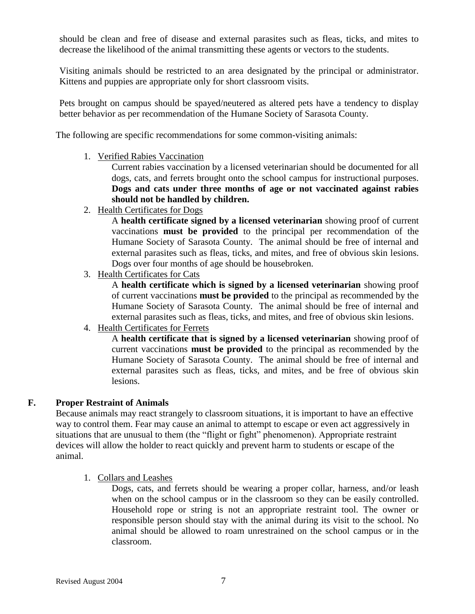should be clean and free of disease and external parasites such as fleas, ticks, and mites to decrease the likelihood of the animal transmitting these agents or vectors to the students.

Visiting animals should be restricted to an area designated by the principal or administrator. Kittens and puppies are appropriate only for short classroom visits.

Pets brought on campus should be spayed/neutered as altered pets have a tendency to display better behavior as per recommendation of the Humane Society of Sarasota County.

The following are specific recommendations for some common-visiting animals:

1. Verified Rabies Vaccination

Current rabies vaccination by a licensed veterinarian should be documented for all dogs, cats, and ferrets brought onto the school campus for instructional purposes. **Dogs and cats under three months of age or not vaccinated against rabies should not be handled by children.**

2. Health Certificates for Dogs

A **health certificate signed by a licensed veterinarian** showing proof of current vaccinations **must be provided** to the principal per recommendation of the Humane Society of Sarasota County. The animal should be free of internal and external parasites such as fleas, ticks, and mites, and free of obvious skin lesions. Dogs over four months of age should be housebroken.

3. Health Certificates for Cats

A **health certificate which is signed by a licensed veterinarian** showing proof of current vaccinations **must be provided** to the principal as recommended by the Humane Society of Sarasota County. The animal should be free of internal and external parasites such as fleas, ticks, and mites, and free of obvious skin lesions.

4. Health Certificates for Ferrets

A **health certificate that is signed by a licensed veterinarian** showing proof of current vaccinations **must be provided** to the principal as recommended by the Humane Society of Sarasota County. The animal should be free of internal and external parasites such as fleas, ticks, and mites, and be free of obvious skin lesions.

#### **F. Proper Restraint of Animals**

Because animals may react strangely to classroom situations, it is important to have an effective way to control them. Fear may cause an animal to attempt to escape or even act aggressively in situations that are unusual to them (the "flight or fight" phenomenon). Appropriate restraint devices will allow the holder to react quickly and prevent harm to students or escape of the animal.

1. Collars and Leashes

Dogs, cats, and ferrets should be wearing a proper collar, harness, and/or leash when on the school campus or in the classroom so they can be easily controlled. Household rope or string is not an appropriate restraint tool. The owner or responsible person should stay with the animal during its visit to the school. No animal should be allowed to roam unrestrained on the school campus or in the classroom.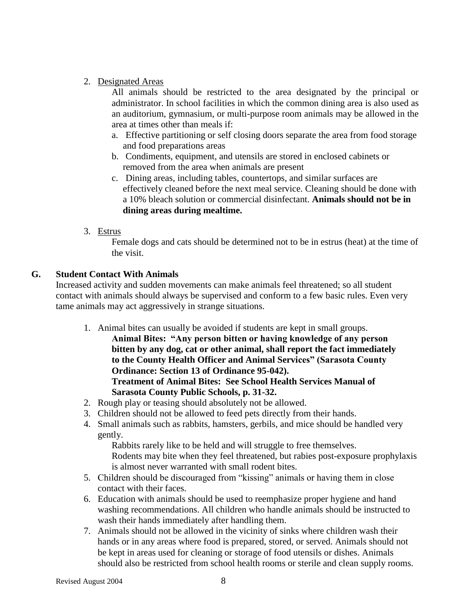#### 2. Designated Areas

All animals should be restricted to the area designated by the principal or administrator. In school facilities in which the common dining area is also used as an auditorium, gymnasium, or multi-purpose room animals may be allowed in the area at times other than meals if:

- a. Effective partitioning or self closing doors separate the area from food storage and food preparations areas
- b. Condiments, equipment, and utensils are stored in enclosed cabinets or removed from the area when animals are present
- c. Dining areas, including tables, countertops, and similar surfaces are effectively cleaned before the next meal service. Cleaning should be done with a 10% bleach solution or commercial disinfectant. **Animals should not be in dining areas during mealtime.**
- 3. Estrus

Female dogs and cats should be determined not to be in estrus (heat) at the time of the visit.

#### **G. Student Contact With Animals**

Increased activity and sudden movements can make animals feel threatened; so all student contact with animals should always be supervised and conform to a few basic rules. Even very tame animals may act aggressively in strange situations.

- 1. Animal bites can usually be avoided if students are kept in small groups.
	- **Animal Bites: "Any person bitten or having knowledge of any person bitten by any dog, cat or other animal, shall report the fact immediately to the County Health Officer and Animal Services" (Sarasota County Ordinance: Section 13 of Ordinance 95-042). Treatment of Animal Bites: See School Health Services Manual of Sarasota County Public Schools, p. 31-32.**
- 2. Rough play or teasing should absolutely not be allowed.
- 3. Children should not be allowed to feed pets directly from their hands.
- 4. Small animals such as rabbits, hamsters, gerbils, and mice should be handled very gently.

Rabbits rarely like to be held and will struggle to free themselves. Rodents may bite when they feel threatened, but rabies post-exposure prophylaxis is almost never warranted with small rodent bites.

- 5. Children should be discouraged from "kissing" animals or having them in close contact with their faces.
- 6. Education with animals should be used to reemphasize proper hygiene and hand washing recommendations. All children who handle animals should be instructed to wash their hands immediately after handling them.
- 7. Animals should not be allowed in the vicinity of sinks where children wash their hands or in any areas where food is prepared, stored, or served. Animals should not be kept in areas used for cleaning or storage of food utensils or dishes. Animals should also be restricted from school health rooms or sterile and clean supply rooms.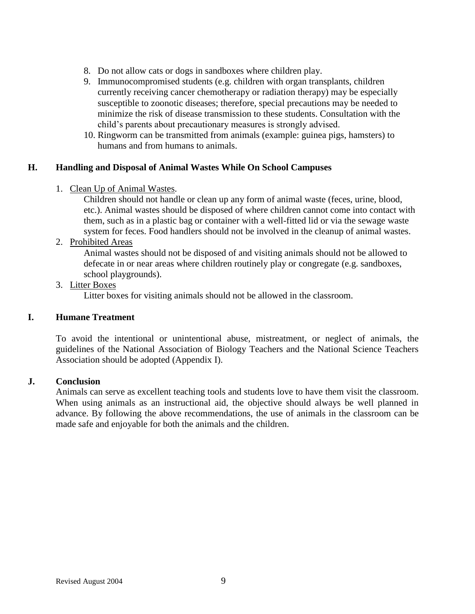- 8. Do not allow cats or dogs in sandboxes where children play.
- 9. Immunocompromised students (e.g. children with organ transplants, children currently receiving cancer chemotherapy or radiation therapy) may be especially susceptible to zoonotic diseases; therefore, special precautions may be needed to minimize the risk of disease transmission to these students. Consultation with the child's parents about precautionary measures is strongly advised.
- 10. Ringworm can be transmitted from animals (example: guinea pigs, hamsters) to humans and from humans to animals.

#### **H. Handling and Disposal of Animal Wastes While On School Campuses**

1. Clean Up of Animal Wastes.

Children should not handle or clean up any form of animal waste (feces, urine, blood, etc.). Animal wastes should be disposed of where children cannot come into contact with them, such as in a plastic bag or container with a well-fitted lid or via the sewage waste system for feces. Food handlers should not be involved in the cleanup of animal wastes.

2. Prohibited Areas

Animal wastes should not be disposed of and visiting animals should not be allowed to defecate in or near areas where children routinely play or congregate (e.g. sandboxes, school playgrounds).

#### 3. Litter Boxes

Litter boxes for visiting animals should not be allowed in the classroom.

#### **I. Humane Treatment**

To avoid the intentional or unintentional abuse, mistreatment, or neglect of animals, the guidelines of the National Association of Biology Teachers and the National Science Teachers Association should be adopted (Appendix I).

#### **J. Conclusion**

Animals can serve as excellent teaching tools and students love to have them visit the classroom. When using animals as an instructional aid, the objective should always be well planned in advance. By following the above recommendations, the use of animals in the classroom can be made safe and enjoyable for both the animals and the children.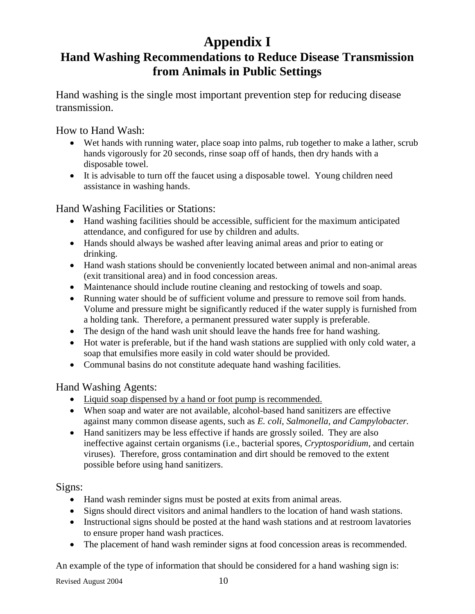# **Appendix I**

## **Hand Washing Recommendations to Reduce Disease Transmission from Animals in Public Settings**

Hand washing is the single most important prevention step for reducing disease transmission.

How to Hand Wash:

- Wet hands with running water, place soap into palms, rub together to make a lather, scrub hands vigorously for 20 seconds, rinse soap off of hands, then dry hands with a disposable towel.
- It is advisable to turn off the faucet using a disposable towel. Young children need assistance in washing hands.

Hand Washing Facilities or Stations:

- Hand washing facilities should be accessible, sufficient for the maximum anticipated attendance, and configured for use by children and adults.
- Hands should always be washed after leaving animal areas and prior to eating or drinking.
- Hand wash stations should be conveniently located between animal and non-animal areas (exit transitional area) and in food concession areas.
- Maintenance should include routine cleaning and restocking of towels and soap.
- Running water should be of sufficient volume and pressure to remove soil from hands. Volume and pressure might be significantly reduced if the water supply is furnished from a holding tank. Therefore, a permanent pressured water supply is preferable.
- The design of the hand wash unit should leave the hands free for hand washing.
- Hot water is preferable, but if the hand wash stations are supplied with only cold water, a soap that emulsifies more easily in cold water should be provided.
- Communal basins do not constitute adequate hand washing facilities.

Hand Washing Agents:

- Liquid soap dispensed by a hand or foot pump is recommended.
- When soap and water are not available, alcohol-based hand sanitizers are effective against many common disease agents, such as *E. coli, Salmonella, and Campylobacter.*
- Hand sanitizers may be less effective if hands are grossly soiled. They are also ineffective against certain organisms (i.e., bacterial spores, *Cryptosporidium*, and certain viruses). Therefore, gross contamination and dirt should be removed to the extent possible before using hand sanitizers.

Signs:

- Hand wash reminder signs must be posted at exits from animal areas.
- Signs should direct visitors and animal handlers to the location of hand wash stations.
- Instructional signs should be posted at the hand wash stations and at restroom lavatories to ensure proper hand wash practices.
- The placement of hand wash reminder signs at food concession areas is recommended.

An example of the type of information that should be considered for a hand washing sign is:

Revised August 2004 10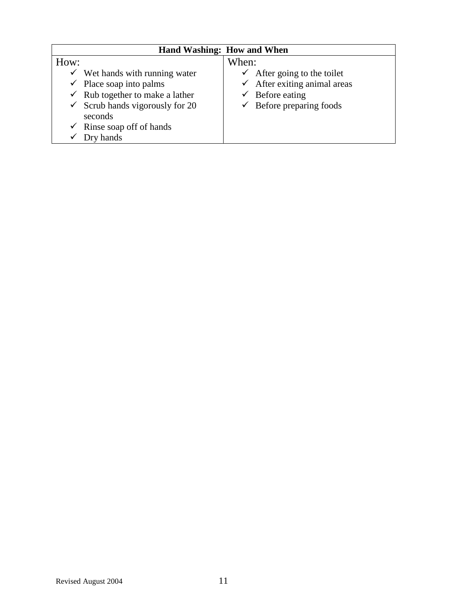| Hand Washing: How and When |                                            |                                         |
|----------------------------|--------------------------------------------|-----------------------------------------|
| How:                       |                                            | When:                                   |
|                            | $\checkmark$ Wet hands with running water  | $\checkmark$ After going to the toilet  |
|                            | $\checkmark$ Place soap into palms         | $\checkmark$ After exiting animal areas |
|                            | $\checkmark$ Rub together to make a lather | Before eating                           |
|                            | $\checkmark$ Scrub hands vigorously for 20 | $\checkmark$ Before preparing foods     |
|                            | seconds                                    |                                         |
|                            | $\checkmark$ Rinse soap off of hands       |                                         |
| v                          | Dry hands                                  |                                         |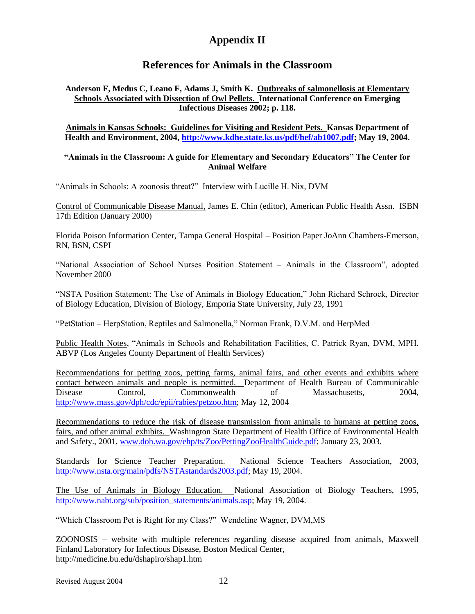### **Appendix II**

#### **References for Animals in the Classroom**

#### **Anderson F, Medus C, Leano F, Adams J, Smith K. Outbreaks of salmonellosis at Elementary Schools Associated with Dissection of Owl Pellets. International Conference on Emerging Infectious Diseases 2002; p. 118.**

#### **Animals in Kansas Schools: Guidelines for Visiting and Resident Pets. Kansas Department of Health and Environment, 2004, [http://www.kdhe.state.ks.us/pdf/hef/ab1007.pdf;](http://www.kdhe.state.ks.us/pdf/hef/ab1007.pdf) May 19, 2004.**

#### **"Animals in the Classroom: A guide for Elementary and Secondary Educators" The Center for Animal Welfare**

"Animals in Schools: A zoonosis threat?" Interview with Lucille H. Nix, DVM

Control of Communicable Disease Manual, James E. Chin (editor), American Public Health Assn. ISBN 17th Edition (January 2000)

Florida Poison Information Center, Tampa General Hospital – Position Paper JoAnn Chambers-Emerson, RN, BSN, CSPI

"National Association of School Nurses Position Statement – Animals in the Classroom", adopted November 2000

"NSTA Position Statement: The Use of Animals in Biology Education," John Richard Schrock, Director of Biology Education, Division of Biology, Emporia State University, July 23, 1991

"PetStation – HerpStation, Reptiles and Salmonella," Norman Frank, D.V.M. and HerpMed

Public Health Notes, "Animals in Schools and Rehabilitation Facilities, C. Patrick Ryan, DVM, MPH, ABVP (Los Angeles County Department of Health Services)

Recommendations for petting zoos, petting farms, animal fairs, and other events and exhibits where contact between animals and people is permitted. Department of Health Bureau of Communicable Disease Control, Commonwealth of Massachusetts, 2004, [http://www.mass.gov/dph/cdc/epii/rabies/petzoo.htm;](http://www.mass.gov/dph/cdc/epii/rabies/petzoo.htm) May 12, 2004

Recommendations to reduce the risk of disease transmission from animals to humans at petting zoos, fairs, and other animal exhibits. Washington State Department of Health Office of Environmental Health and Safety., 2001, [www.doh.wa.gov/ehp/ts/Zoo/PettingZooHealthGuide.pdf;](http://www.doh.wa.gov/ehp/ts/Zoo/PettingZooHealthGuide.pdf) January 23, 2003.

Standards for Science Teacher Preparation. National Science Teachers Association, 2003, [http://www.nsta.org/main/pdfs/NSTAstandards2003.pdf;](http://www.nsta.org/main/pdfs/NSTAstandards2003.pdf) May 19, 2004.

The Use of Animals in Biology Education. National Association of Biology Teachers, 1995, [http://www.nabt.org/sub/position\\_statements/animals.asp;](http://www.nabt.org/sub/position_statements/animals.asp) May 19, 2004.

"Which Classroom Pet is Right for my Class?" Wendeline Wagner, DVM,MS

ZOONOSIS – website with multiple references regarding disease acquired from animals, Maxwell Finland Laboratory for Infectious Disease, Boston Medical Center, http://medicine.bu.edu/dshapiro/shap1.htm